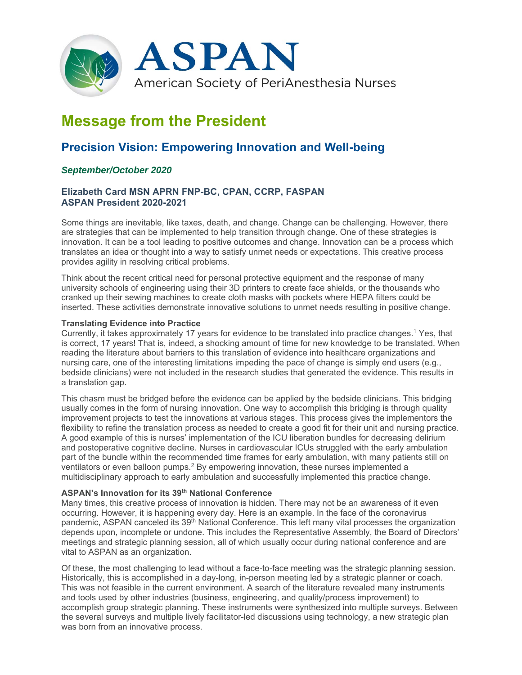

# **Message from the President**

# **Precision Vision: Empowering Innovation and Well-being**

# *September/October 2020*

# **Elizabeth Card MSN APRN FNP-BC, CPAN, CCRP, FASPAN ASPAN President 2020-2021**

Some things are inevitable, like taxes, death, and change. Change can be challenging. However, there are strategies that can be implemented to help transition through change. One of these strategies is innovation. It can be a tool leading to positive outcomes and change. Innovation can be a process which translates an idea or thought into a way to satisfy unmet needs or expectations. This creative process provides agility in resolving critical problems.

Think about the recent critical need for personal protective equipment and the response of many university schools of engineering using their 3D printers to create face shields, or the thousands who cranked up their sewing machines to create cloth masks with pockets where HEPA filters could be inserted. These activities demonstrate innovative solutions to unmet needs resulting in positive change.

#### **Translating Evidence into Practice**

Currently, it takes approximately 17 years for evidence to be translated into practice changes.1 Yes, that is correct, 17 years! That is, indeed, a shocking amount of time for new knowledge to be translated. When reading the literature about barriers to this translation of evidence into healthcare organizations and nursing care, one of the interesting limitations impeding the pace of change is simply end users (e.g., bedside clinicians) were not included in the research studies that generated the evidence. This results in a translation gap.

This chasm must be bridged before the evidence can be applied by the bedside clinicians. This bridging usually comes in the form of nursing innovation. One way to accomplish this bridging is through quality improvement projects to test the innovations at various stages. This process gives the implementors the flexibility to refine the translation process as needed to create a good fit for their unit and nursing practice. A good example of this is nurses' implementation of the ICU liberation bundles for decreasing delirium and postoperative cognitive decline. Nurses in cardiovascular ICUs struggled with the early ambulation part of the bundle within the recommended time frames for early ambulation, with many patients still on ventilators or even balloon pumps.<sup>2</sup> By empowering innovation, these nurses implemented a multidisciplinary approach to early ambulation and successfully implemented this practice change.

#### **ASPAN's Innovation for its 39th National Conference**

Many times, this creative process of innovation is hidden. There may not be an awareness of it even occurring. However, it is happening every day. Here is an example. In the face of the coronavirus pandemic, ASPAN canceled its 39<sup>th</sup> National Conference. This left many vital processes the organization depends upon, incomplete or undone. This includes the Representative Assembly, the Board of Directors' meetings and strategic planning session, all of which usually occur during national conference and are vital to ASPAN as an organization.

Of these, the most challenging to lead without a face-to-face meeting was the strategic planning session. Historically, this is accomplished in a day-long, in-person meeting led by a strategic planner or coach. This was not feasible in the current environment. A search of the literature revealed many instruments and tools used by other industries (business, engineering, and quality/process improvement) to accomplish group strategic planning. These instruments were synthesized into multiple surveys. Between the several surveys and multiple lively facilitator-led discussions using technology, a new strategic plan was born from an innovative process.